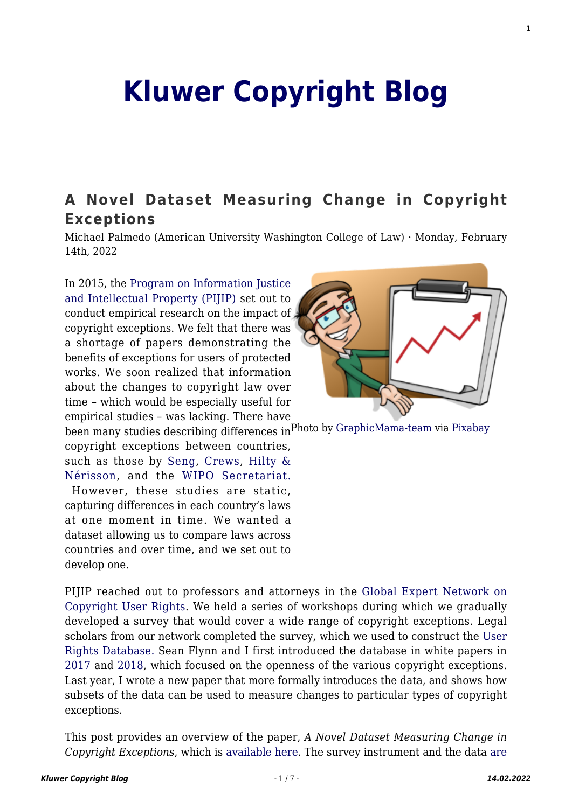# **[Kluwer Copyright Blog](http://copyrightblog.kluweriplaw.com/)**

# **[A Novel Dataset Measuring Change in Copyright](http://copyrightblog.kluweriplaw.com/2022/02/14/a-novel-dataset-measuring-change-in-copyright-exceptions/) [Exceptions](http://copyrightblog.kluweriplaw.com/2022/02/14/a-novel-dataset-measuring-change-in-copyright-exceptions/)**

Michael Palmedo (American University Washington College of Law) · Monday, February 14th, 2022

In 2015, the [Program on Information Justice](https://www.wcl.american.edu/impact/initiatives-programs/pijip/) [and Intellectual Property \(PIJIP\)](https://www.wcl.american.edu/impact/initiatives-programs/pijip/) set out to conduct empirical research on the impact of copyright exceptions. We felt that there was a shortage of papers demonstrating the benefits of exceptions for users of protected works. We soon realized that information about the changes to copyright law over time – which would be especially useful for empirical studies – was lacking. There have



been many studies describing differences in<sup>Photo</sup> by [GraphicMama-team](https://pixabay.com/es/users/graphicmama-team-2641041/?utm_source=link-attribution&utm_medium=referral&utm_campaign=image&utm_content=1454403) via [Pixabay](https://pixabay.com/es/?utm_source=link-attribution&utm_medium=referral&utm_campaign=image&utm_content=1454403) copyright exceptions between countries,

such as those by [Seng,](https://www.wipo.int/meetings/en/doc_details.jsp?doc_id=357756) [Crews,](https://www.wipo.int/meetings/en/doc_details.jsp?doc_id=389654) [Hilty &](https://link.springer.com/book/10.1007/978-3-642-29596-6) [Nérisson](https://link.springer.com/book/10.1007/978-3-642-29596-6), and the [WIPO Secretariat.](https://www.wipo.int/edocs/mdocs/copyright/en/sccr_21/sccr_21_7.pdf)

 However, these studies are static, capturing differences in each country's laws at one moment in time. We wanted a dataset allowing us to compare laws across countries and over time, and we set out to develop one.

PIJIP reached out to professors and attorneys in the [Global Expert Network on](https://www.wcl.american.edu/impact/initiatives-programs/pijip/impact/global-network-on-copyright-user-rights/) [Copyright User Rights](https://www.wcl.american.edu/impact/initiatives-programs/pijip/impact/global-network-on-copyright-user-rights/). We held a series of workshops during which we gradually developed a survey that would cover a wide range of copyright exceptions. Legal scholars from our network completed the survey, which we used to construct the [User](http://infojustice.org/survey) [Rights Database.](http://infojustice.org/survey) Sean Flynn and I first introduced the database in white papers in [2017](http://infojustice.org/wp-content/uploads/2017/11/Flynn-and-Palmedo-v1.pdf) and [2018](http://infojustice.org/wp-content/uploads/2018/09/WCL_PIJIP_WhitePaper-UserRightsDatabase.pdf), which focused on the openness of the various copyright exceptions. Last year, I wrote a new paper that more formally introduces the data, and shows how subsets of the data can be used to measure changes to particular types of copyright exceptions.

This post provides an overview of the paper, *A Novel Dataset Measuring Change in Copyright Exceptions*, which is [available here](https://digitalcommons.wcl.american.edu/research/74/). The survey instrument and the data [are](http://infojustice.org/survey)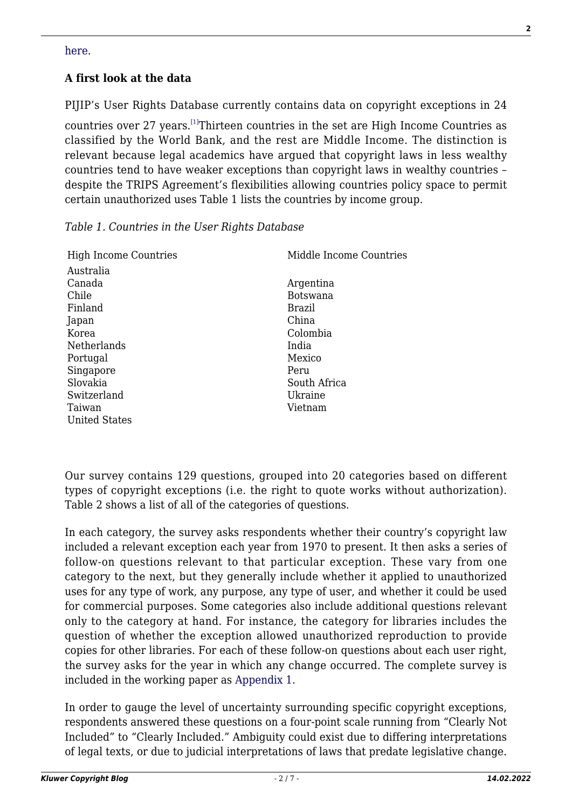# **A first look at the data**

PIJIP's User Rights Database currently contains data on copyright exceptions in 24 countries over 27 years.[\[1\]](#page--1-0)Thirteen countries in the set are High Income Countries as classified by the World Bank, and the rest are Middle Income. The distinction is relevant because legal academics have argued that copyright laws in less wealthy countries tend to have weaker exceptions than copyright laws in wealthy countries – despite the TRIPS Agreement's flexibilities allowing countries policy space to permit certain unauthorized uses Table 1 lists the countries by income group.

# *Table 1. Countries in the User Rights Database*

| <b>High Income Countries</b> | Middle Income Countries |
|------------------------------|-------------------------|
| Australia                    |                         |
| Canada                       | Argentina               |
| Chile                        | Botswana                |
| Finland                      | Brazil                  |
| Japan                        | China                   |
| Korea                        | Colombia                |
| Netherlands                  | India                   |
| Portugal                     | Mexico                  |
| Singapore                    | Peru                    |
| Slovakia                     | South Africa            |
| Switzerland                  | Ukraine                 |
| Taiwan                       | Vietnam                 |
| United States                |                         |
|                              |                         |

Our survey contains 129 questions, grouped into 20 categories based on different types of copyright exceptions (i.e. the right to quote works without authorization). Table 2 shows a list of all of the categories of questions.

In each category, the survey asks respondents whether their country's copyright law included a relevant exception each year from 1970 to present. It then asks a series of follow-on questions relevant to that particular exception. These vary from one category to the next, but they generally include whether it applied to unauthorized uses for any type of work, any purpose, any type of user, and whether it could be used for commercial purposes. Some categories also include additional questions relevant only to the category at hand. For instance, the category for libraries includes the question of whether the exception allowed unauthorized reproduction to provide copies for other libraries. For each of these follow-on questions about each user right, the survey asks for the year in which any change occurred. The complete survey is included in the working paper as [Appendix 1](https://digitalcommons.wcl.american.edu/cgi/viewcontent.cgi?filename=0&article=1076&context=research&type=additional).

In order to gauge the level of uncertainty surrounding specific copyright exceptions, respondents answered these questions on a four-point scale running from "Clearly Not Included" to "Clearly Included." Ambiguity could exist due to differing interpretations of legal texts, or due to judicial interpretations of laws that predate legislative change.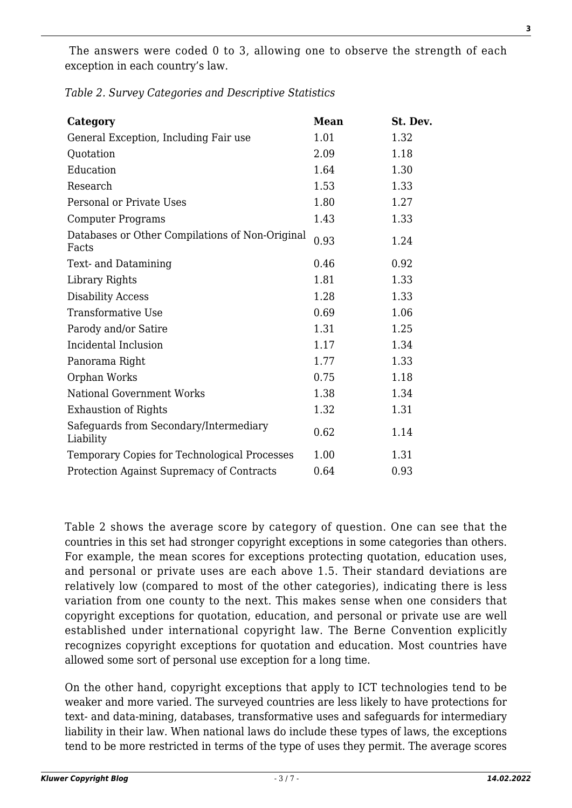The answers were coded 0 to 3, allowing one to observe the strength of each exception in each country's law.

| Table 2. Survey Categories and Descriptive Statistics |  |  |  |  |
|-------------------------------------------------------|--|--|--|--|
|-------------------------------------------------------|--|--|--|--|

| Category                                                 | <b>Mean</b> | St. Dev. |
|----------------------------------------------------------|-------------|----------|
| General Exception, Including Fair use                    | 1.01        | 1.32     |
| Quotation                                                | 2.09        | 1.18     |
| Education                                                | 1.64        | 1.30     |
| Research                                                 | 1.53        | 1.33     |
| Personal or Private Uses                                 | 1.80        | 1.27     |
| <b>Computer Programs</b>                                 | 1.43        | 1.33     |
| Databases or Other Compilations of Non-Original<br>Facts | 0.93        | 1.24     |
| Text- and Datamining                                     | 0.46        | 0.92     |
| Library Rights                                           | 1.81        | 1.33     |
| <b>Disability Access</b>                                 | 1.28        | 1.33     |
| Transformative Use                                       | 0.69        | 1.06     |
| Parody and/or Satire                                     | 1.31        | 1.25     |
| Incidental Inclusion                                     | 1.17        | 1.34     |
| Panorama Right                                           | 1.77        | 1.33     |
| Orphan Works                                             | 0.75        | 1.18     |
| <b>National Government Works</b>                         | 1.38        | 1.34     |
| <b>Exhaustion of Rights</b>                              | 1.32        | 1.31     |
| Safeguards from Secondary/Intermediary<br>Liability      | 0.62        | 1.14     |
| Temporary Copies for Technological Processes             | 1.00        | 1.31     |
| Protection Against Supremacy of Contracts                | 0.64        | 0.93     |

Table 2 shows the average score by category of question. One can see that the countries in this set had stronger copyright exceptions in some categories than others. For example, the mean scores for exceptions protecting quotation, education uses, and personal or private uses are each above 1.5. Their standard deviations are relatively low (compared to most of the other categories), indicating there is less variation from one county to the next. This makes sense when one considers that copyright exceptions for quotation, education, and personal or private use are well established under international copyright law. The Berne Convention explicitly recognizes copyright exceptions for quotation and education. Most countries have allowed some sort of personal use exception for a long time.

On the other hand, copyright exceptions that apply to ICT technologies tend to be weaker and more varied. The surveyed countries are less likely to have protections for text- and data-mining, databases, transformative uses and safeguards for intermediary liability in their law. When national laws do include these types of laws, the exceptions tend to be more restricted in terms of the type of uses they permit. The average scores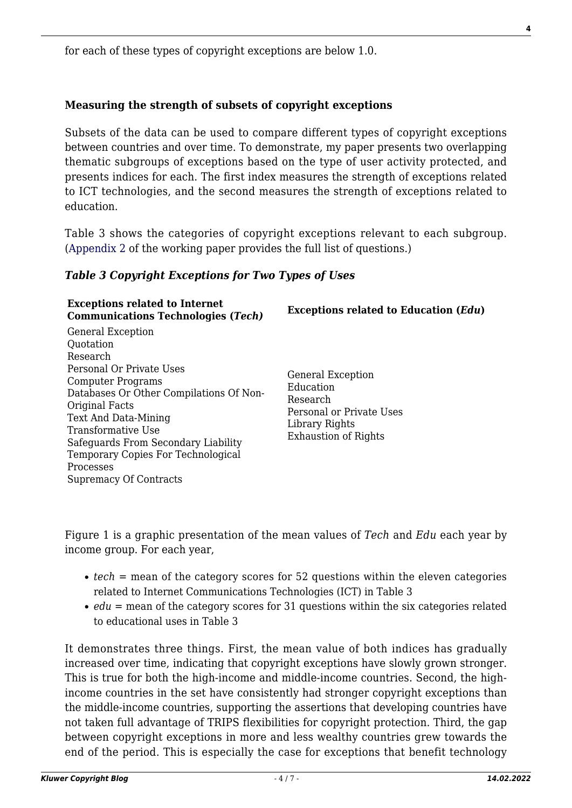for each of these types of copyright exceptions are below 1.0.

# **Measuring the strength of subsets of copyright exceptions**

Subsets of the data can be used to compare different types of copyright exceptions between countries and over time. To demonstrate, my paper presents two overlapping thematic subgroups of exceptions based on the type of user activity protected, and presents indices for each. The first index measures the strength of exceptions related to ICT technologies, and the second measures the strength of exceptions related to education.

Table 3 shows the categories of copyright exceptions relevant to each subgroup. ([Appendix 2](https://digitalcommons.wcl.american.edu/cgi/viewcontent.cgi?filename=1&article=1076&context=research&type=additional) of the working paper provides the full list of questions.)

# *Table 3 Copyright Exceptions for Two Types of Uses*

| <b>Exceptions related to Internet</b><br><b>Communications Technologies (Tech)</b>                                                                                                                                                                                                                                                | <b>Exceptions related to Education (Edu)</b>                                                                                   |
|-----------------------------------------------------------------------------------------------------------------------------------------------------------------------------------------------------------------------------------------------------------------------------------------------------------------------------------|--------------------------------------------------------------------------------------------------------------------------------|
| <b>General Exception</b><br>Quotation<br>Research<br>Personal Or Private Uses<br>Computer Programs<br>Databases Or Other Compilations Of Non-<br>Original Facts<br>Text And Data-Mining<br>Transformative Use<br>Safeguards From Secondary Liability<br>Temporary Copies For Technological<br>Processes<br>Supremacy Of Contracts | <b>General Exception</b><br>Education<br>Research<br>Personal or Private Uses<br>Library Rights<br><b>Exhaustion of Rights</b> |
|                                                                                                                                                                                                                                                                                                                                   |                                                                                                                                |

Figure 1 is a graphic presentation of the mean values of *Tech* and *Edu* each year by income group. For each year,

- *tech* = mean of the category scores for 52 questions within the eleven categories related to Internet Communications Technologies (ICT) in Table 3
- *edu* = mean of the category scores for 31 questions within the six categories related to educational uses in Table 3

It demonstrates three things. First, the mean value of both indices has gradually increased over time, indicating that copyright exceptions have slowly grown stronger. This is true for both the high-income and middle-income countries. Second, the highincome countries in the set have consistently had stronger copyright exceptions than the middle-income countries, supporting the assertions that developing countries have not taken full advantage of TRIPS flexibilities for copyright protection. Third, the gap between copyright exceptions in more and less wealthy countries grew towards the end of the period. This is especially the case for exceptions that benefit technology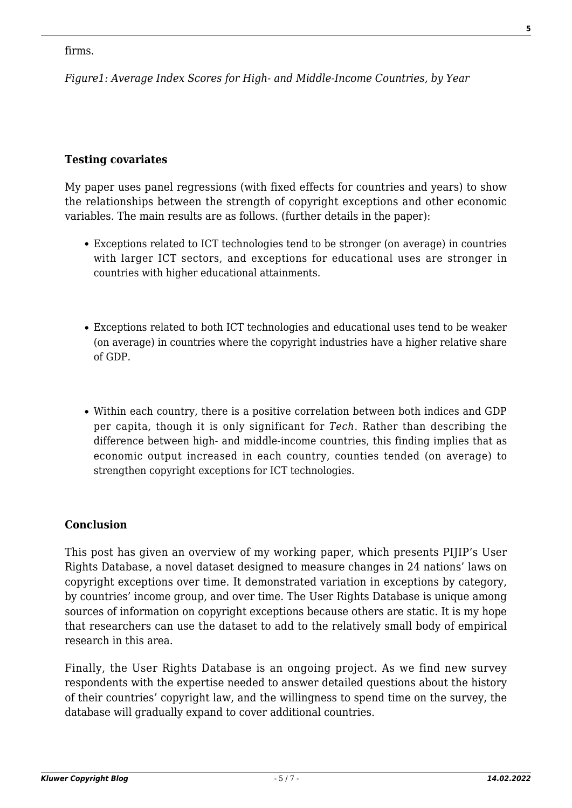#### firms.

*Figure1: Average Index Scores for High- and Middle-Income Countries, by Year*

#### **Testing covariates**

My paper uses panel regressions (with fixed effects for countries and years) to show the relationships between the strength of copyright exceptions and other economic variables. The main results are as follows. (further details in the paper):

- Exceptions related to ICT technologies tend to be stronger (on average) in countries with larger ICT sectors, and exceptions for educational uses are stronger in countries with higher educational attainments.
- Exceptions related to both ICT technologies and educational uses tend to be weaker (on average) in countries where the copyright industries have a higher relative share of GDP.
- Within each country, there is a positive correlation between both indices and GDP per capita, though it is only significant for *Tech*. Rather than describing the difference between high- and middle-income countries, this finding implies that as economic output increased in each country, counties tended (on average) to strengthen copyright exceptions for ICT technologies.

# **Conclusion**

This post has given an overview of my working paper, which presents PIJIP's User Rights Database, a novel dataset designed to measure changes in 24 nations' laws on copyright exceptions over time. It demonstrated variation in exceptions by category, by countries' income group, and over time. The User Rights Database is unique among sources of information on copyright exceptions because others are static. It is my hope that researchers can use the dataset to add to the relatively small body of empirical research in this area.

Finally, the User Rights Database is an ongoing project. As we find new survey respondents with the expertise needed to answer detailed questions about the history of their countries' copyright law, and the willingness to spend time on the survey, the database will gradually expand to cover additional countries.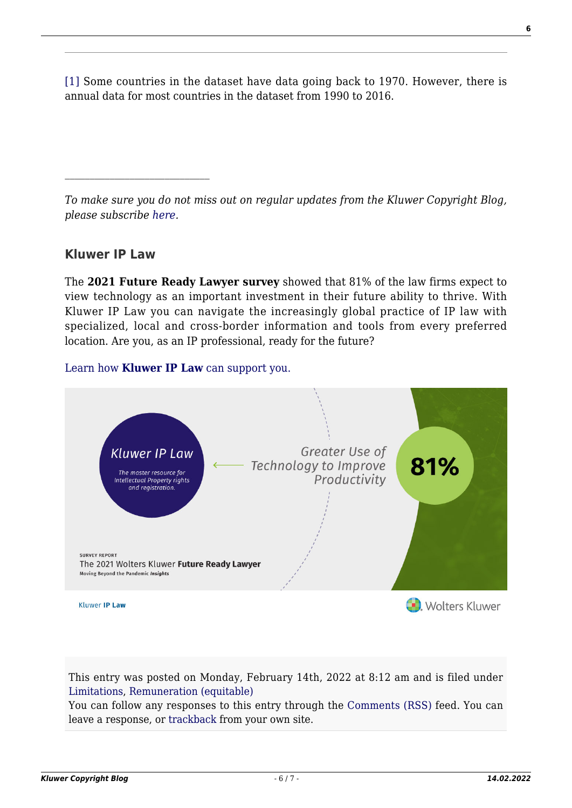[\[1\]](#page--1-0) Some countries in the dataset have data going back to 1970. However, there is annual data for most countries in the dataset from 1990 to 2016.

*To make sure you do not miss out on regular updates from the Kluwer Copyright Blog, please subscribe [here.](http://copyrightblog.kluweriplaw.com/newsletter)*

# **Kluwer IP Law**

The **2021 Future Ready Lawyer survey** showed that 81% of the law firms expect to view technology as an important investment in their future ability to thrive. With Kluwer IP Law you can navigate the increasingly global practice of IP law with specialized, local and cross-border information and tools from every preferred location. Are you, as an IP professional, ready for the future?

# [Learn how](https://www.wolterskluwer.com/en/solutions/kluweriplaw?utm_source=copyrightnblog&utm_medium=articleCTA&utm_campaign=article-banner) **[Kluwer IP Law](https://www.wolterskluwer.com/en/solutions/kluweriplaw?utm_source=copyrightnblog&utm_medium=articleCTA&utm_campaign=article-banner)** [can support you.](https://www.wolterskluwer.com/en/solutions/kluweriplaw?utm_source=copyrightnblog&utm_medium=articleCTA&utm_campaign=article-banner)



This entry was posted on Monday, February 14th, 2022 at 8:12 am and is filed under [Limitations](http://copyrightblog.kluweriplaw.com/category/limitations/), [Remuneration \(equitable\)](http://copyrightblog.kluweriplaw.com/category/remuneration-equitable/)

You can follow any responses to this entry through the [Comments \(RSS\)](http://copyrightblog.kluweriplaw.com/comments/feed/) feed. You can leave a response, or [trackback](http://copyrightblog.kluweriplaw.com/2022/02/14/a-novel-dataset-measuring-change-in-copyright-exceptions/trackback/) from your own site.